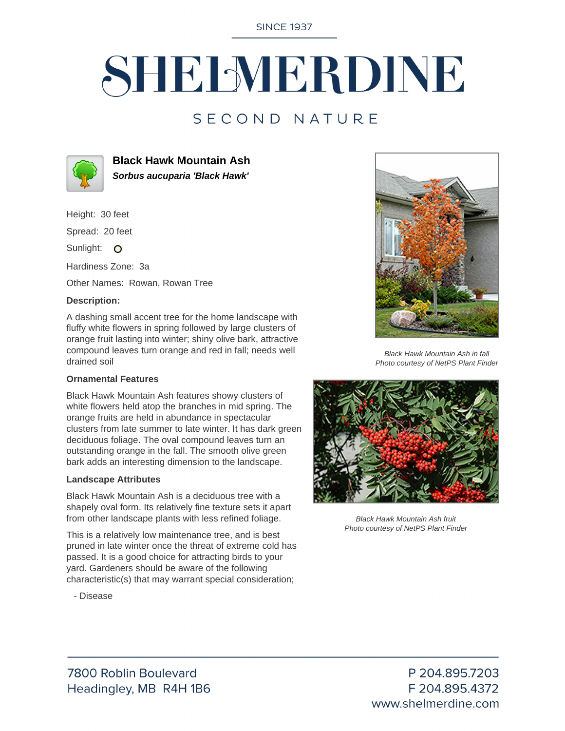**SINCE 1937** 

# SHELMERDINE

## SECOND NATURE



**Black Hawk Mountain Ash Sorbus aucuparia 'Black Hawk'**

Height: 30 feet

Spread: 20 feet

Sunlight: O

Hardiness Zone: 3a

Other Names: Rowan, Rowan Tree

#### **Description:**

A dashing small accent tree for the home landscape with fluffy white flowers in spring followed by large clusters of orange fruit lasting into winter; shiny olive bark, attractive compound leaves turn orange and red in fall; needs well drained soil

#### **Ornamental Features**

Black Hawk Mountain Ash features showy clusters of white flowers held atop the branches in mid spring. The orange fruits are held in abundance in spectacular clusters from late summer to late winter. It has dark green deciduous foliage. The oval compound leaves turn an outstanding orange in the fall. The smooth olive green bark adds an interesting dimension to the landscape.

#### **Landscape Attributes**

Black Hawk Mountain Ash is a deciduous tree with a shapely oval form. Its relatively fine texture sets it apart from other landscape plants with less refined foliage.

This is a relatively low maintenance tree, and is best pruned in late winter once the threat of extreme cold has passed. It is a good choice for attracting birds to your yard. Gardeners should be aware of the following characteristic(s) that may warrant special consideration;

- Disease



Black Hawk Mountain Ash in fall Photo courtesy of NetPS Plant Finder



Black Hawk Mountain Ash fruit Photo courtesy of NetPS Plant Finder

P 204.895.7203 F 204.895.4372 www.shelmerdine.com